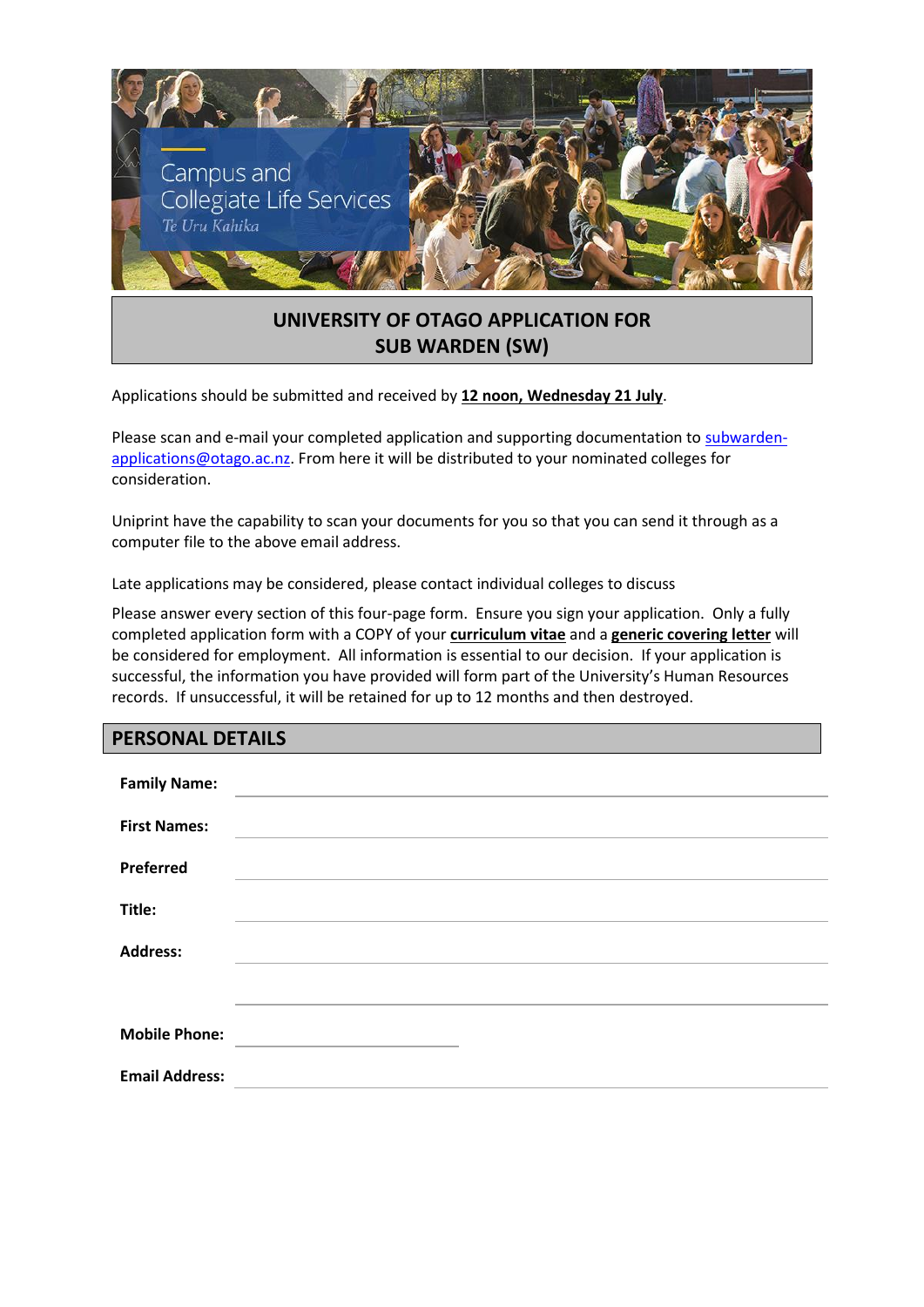

# **UNIVERSITY OF OTAGO APPLICATION FOR SUB WARDEN (SW)**

Applications should be submitted and received by **12 noon, Wednesday 21 July**.

Please scan and e-mail your completed application and supporting documentation to [subwarden](mailto:subwarden-applications@otago.ac.nz)[applications@otago.ac.nz.](mailto:subwarden-applications@otago.ac.nz) From here it will be distributed to your nominated colleges for consideration.

Uniprint have the capability to scan your documents for you so that you can send it through as a computer file to the above email address.

Late applications may be considered, please contact individual colleges to discuss

Please answer every section of this four-page form. Ensure you sign your application. Only a fully completed application form with a COPY of your **curriculum vitae** and a **generic covering letter** will be considered for employment. All information is essential to our decision. If your application is successful, the information you have provided will form part of the University's Human Resources records. If unsuccessful, it will be retained for up to 12 months and then destroyed.

## **PERSONAL DETAILS**

| <b>Family Name:</b>   |  |
|-----------------------|--|
| <b>First Names:</b>   |  |
| Preferred             |  |
| Title:                |  |
| <b>Address:</b>       |  |
|                       |  |
| <b>Mobile Phone:</b>  |  |
| <b>Email Address:</b> |  |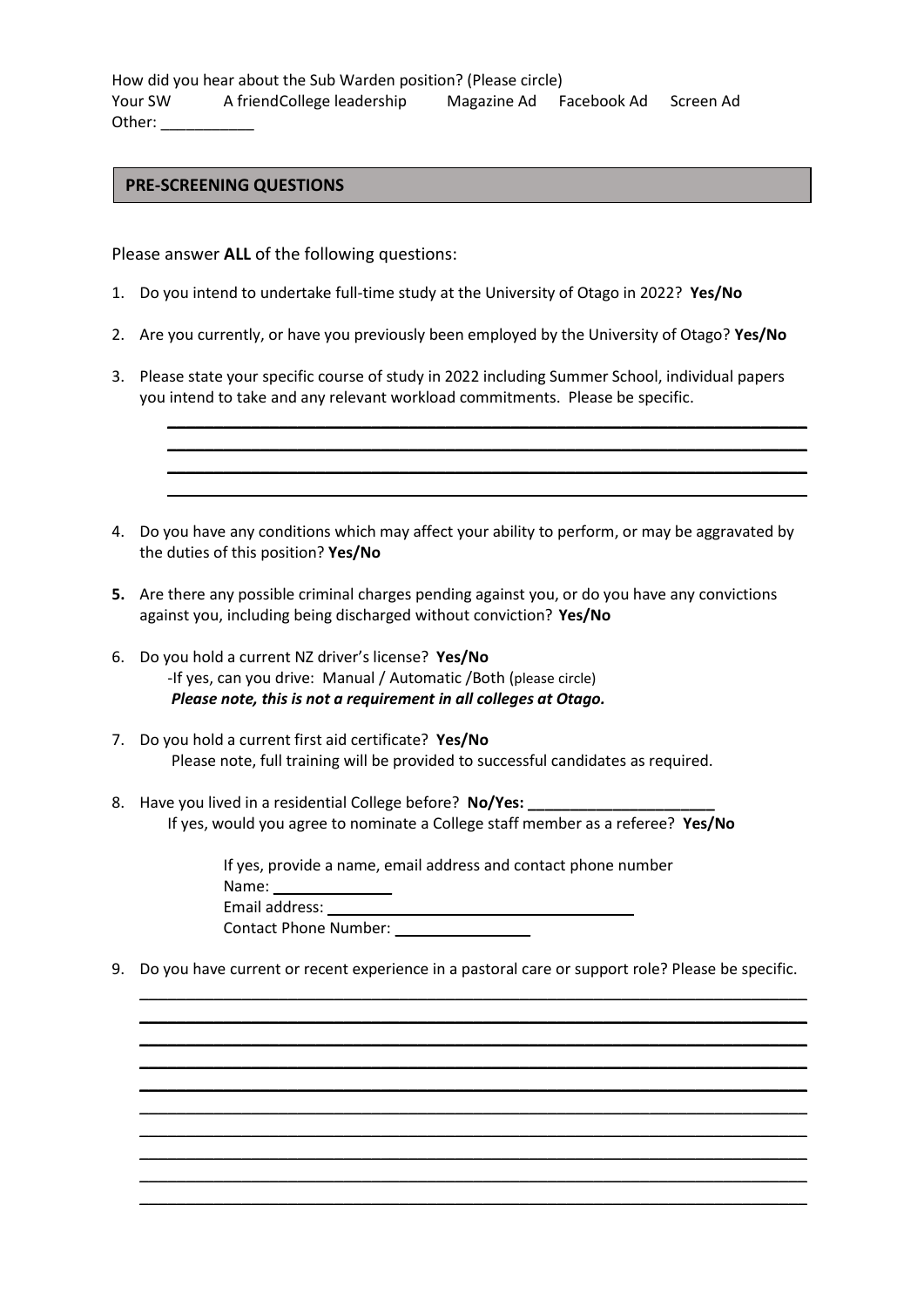How did you hear about the Sub Warden position? (Please circle) Your SW A friendCollege leadership Magazine Ad Facebook Ad Screen Ad Other: \_\_\_\_\_\_\_\_\_\_\_

## **PRE-SCREENING QUESTIONS**

Please answer **ALL** of the following questions:

- 1. Do you intend to undertake full-time study at the University of Otago in 2022? **Yes/No**
- 2. Are you currently, or have you previously been employed by the University of Otago? **Yes/No**
- 3. Please state your specific course of study in 2022 including Summer School, individual papers you intend to take and any relevant workload commitments. Please be specific.

\_\_\_\_\_\_\_\_\_\_\_\_\_\_\_\_\_\_\_\_\_\_\_\_\_\_\_\_\_\_\_\_\_\_\_\_\_\_\_\_\_\_\_\_\_\_\_\_\_\_\_\_\_\_\_\_\_\_\_\_\_\_\_\_\_\_\_\_\_ \_\_\_\_\_\_\_\_\_\_\_\_\_\_\_\_\_\_\_\_\_\_\_\_\_\_\_\_\_\_\_\_\_\_\_\_\_\_\_\_\_\_\_\_\_\_\_\_\_\_\_\_\_\_\_\_\_\_\_\_\_\_\_\_\_\_\_\_\_ \_\_\_\_\_\_\_\_\_\_\_\_\_\_\_\_\_\_\_\_\_\_\_\_\_\_\_\_\_\_\_\_\_\_\_\_\_\_\_\_\_\_\_\_\_\_\_\_\_\_\_\_\_\_\_\_\_\_\_\_\_\_\_\_\_\_\_\_\_ \_\_\_\_\_\_\_\_\_\_\_\_\_\_\_\_\_\_\_\_\_\_\_\_\_\_\_\_\_\_\_\_\_\_\_\_\_\_\_\_\_\_\_\_\_\_\_\_\_\_\_\_\_\_\_\_\_\_\_\_\_\_\_\_\_\_\_\_\_

- 4. Do you have any conditions which may affect your ability to perform, or may be aggravated by the duties of this position? **Yes/No**
- **5.** Are there any possible criminal charges pending against you, or do you have any convictions against you, including being discharged without conviction? **Yes/No**
- 6. Do you hold a current NZ driver's license? **Yes/No** -If yes, can you drive: Manual / Automatic /Both (please circle) *Please note, this is not a requirement in all colleges at Otago.*
- 7. Do you hold a current first aid certificate? **Yes/No** Please note, full training will be provided to successful candidates as required.
- 8. Have you lived in a residential College before? **No/Yes: \_\_\_\_\_\_\_\_\_\_\_\_\_\_\_\_\_\_\_\_\_\_** If yes, would you agree to nominate a College staff member as a referee? **Yes/No**

If yes, provide a name, email address and contact phone number Name: \_\_\_\_\_\_\_\_\_\_\_\_\_\_ Contact Phone Number:

9. Do you have current or recent experience in a pastoral care or support role? Please be specific.

\_\_\_\_\_\_\_\_\_\_\_\_\_\_\_\_\_\_\_\_\_\_\_\_\_\_\_\_\_\_\_\_\_\_\_\_\_\_\_\_\_\_\_\_\_\_\_\_\_\_\_\_\_\_\_\_\_\_\_\_\_\_\_\_\_\_\_\_\_\_\_\_ \_\_\_\_\_\_\_\_\_\_\_\_\_\_\_\_\_\_\_\_\_\_\_\_\_\_\_\_\_\_\_\_\_\_\_\_\_\_\_\_\_\_\_\_\_\_\_\_\_\_\_\_\_\_\_\_\_\_\_\_\_\_\_\_\_\_\_\_\_\_\_\_ \_\_\_\_\_\_\_\_\_\_\_\_\_\_\_\_\_\_\_\_\_\_\_\_\_\_\_\_\_\_\_\_\_\_\_\_\_\_\_\_\_\_\_\_\_\_\_\_\_\_\_\_\_\_\_\_\_\_\_\_\_\_\_\_\_\_\_\_\_\_\_\_ \_\_\_\_\_\_\_\_\_\_\_\_\_\_\_\_\_\_\_\_\_\_\_\_\_\_\_\_\_\_\_\_\_\_\_\_\_\_\_\_\_\_\_\_\_\_\_\_\_\_\_\_\_\_\_\_\_\_\_\_\_\_\_\_\_\_\_\_\_\_\_\_ \_\_\_\_\_\_\_\_\_\_\_\_\_\_\_\_\_\_\_\_\_\_\_\_\_\_\_\_\_\_\_\_\_\_\_\_\_\_\_\_\_\_\_\_\_\_\_\_\_\_\_\_\_\_\_\_\_\_\_\_\_\_\_\_\_\_\_\_\_\_\_\_ \_\_\_\_\_\_\_\_\_\_\_\_\_\_\_\_\_\_\_\_\_\_\_\_\_\_\_\_\_\_\_\_\_\_\_\_\_\_\_\_\_\_\_\_\_\_\_\_\_\_\_\_\_\_\_\_\_\_\_\_\_\_\_\_\_\_\_\_\_\_\_\_ \_\_\_\_\_\_\_\_\_\_\_\_\_\_\_\_\_\_\_\_\_\_\_\_\_\_\_\_\_\_\_\_\_\_\_\_\_\_\_\_\_\_\_\_\_\_\_\_\_\_\_\_\_\_\_\_\_\_\_\_\_\_\_\_\_\_\_\_\_\_\_\_ \_\_\_\_\_\_\_\_\_\_\_\_\_\_\_\_\_\_\_\_\_\_\_\_\_\_\_\_\_\_\_\_\_\_\_\_\_\_\_\_\_\_\_\_\_\_\_\_\_\_\_\_\_\_\_\_\_\_\_\_\_\_\_\_\_\_\_\_\_\_\_\_ \_\_\_\_\_\_\_\_\_\_\_\_\_\_\_\_\_\_\_\_\_\_\_\_\_\_\_\_\_\_\_\_\_\_\_\_\_\_\_\_\_\_\_\_\_\_\_\_\_\_\_\_\_\_\_\_\_\_\_\_\_\_\_\_\_\_\_\_\_\_\_\_ \_\_\_\_\_\_\_\_\_\_\_\_\_\_\_\_\_\_\_\_\_\_\_\_\_\_\_\_\_\_\_\_\_\_\_\_\_\_\_\_\_\_\_\_\_\_\_\_\_\_\_\_\_\_\_\_\_\_\_\_\_\_\_\_\_\_\_\_\_\_\_\_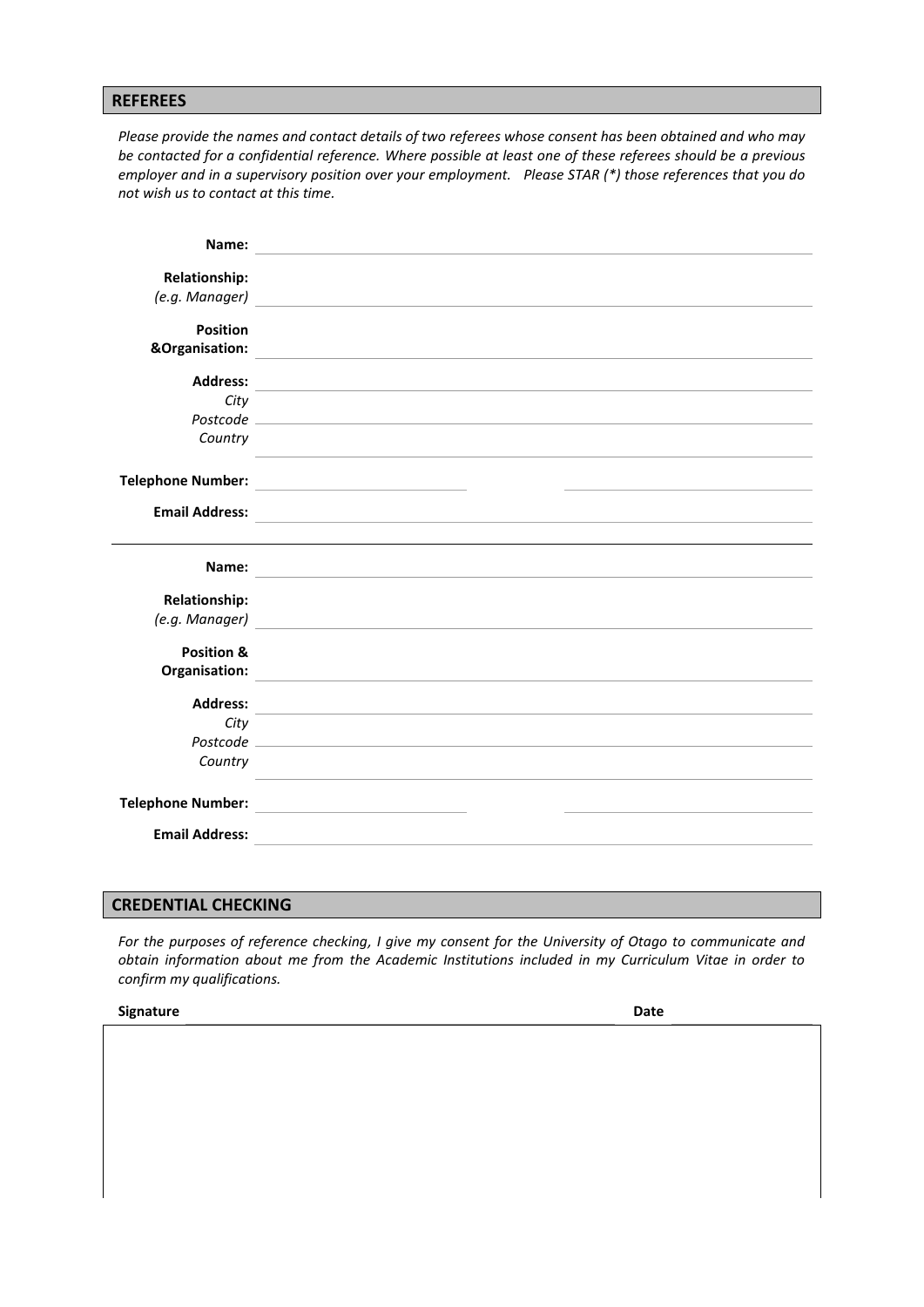#### **REFEREES**

*Please provide the names and contact details of two referees whose consent has been obtained and who may be contacted for a confidential reference. Where possible at least one of these referees should be a previous employer and in a supervisory position over your employment. Please STAR (\*) those references that you do not wish us to contact at this time.*

| Name:                    | <u> 1989 - Andrea Andrew Maria (h. 1989).</u>                                                                                                                                                                                       |
|--------------------------|-------------------------------------------------------------------------------------------------------------------------------------------------------------------------------------------------------------------------------------|
| <b>Relationship:</b>     |                                                                                                                                                                                                                                     |
|                          | (e.g. Manager) <b>Container and Container and Container and Container and Container and Container and Container</b>                                                                                                                 |
|                          |                                                                                                                                                                                                                                     |
| <b>Position</b>          |                                                                                                                                                                                                                                     |
|                          | &Organisation: <u>Communication</u> Contract Contract Contract Contract Contract Contract Contract Contract Contract Contract Contract Contract Contract Contract Contract Contract Contract Contract Contract Contract Contract Co |
|                          |                                                                                                                                                                                                                                     |
| City                     |                                                                                                                                                                                                                                     |
|                          | Postcode experience and the set of the set of the set of the set of the set of the set of the set of the set of the set of the set of the set of the set of the set of the set of the set of the set of the set of the set of       |
| Country                  |                                                                                                                                                                                                                                     |
|                          | and the control of the control of the control of the control of the control of the control of the control of the                                                                                                                    |
|                          |                                                                                                                                                                                                                                     |
| <b>Email Address:</b>    |                                                                                                                                                                                                                                     |
|                          | <u> 1980 - Andrea Station Barbara, amerikan personal (h. 1980).</u>                                                                                                                                                                 |
| Name:                    | <u> 1989 - Johann Stoff, deutscher Stoff, der Stoff, der Stoff, der Stoff, der Stoff, der Stoff, der Stoff, der S</u>                                                                                                               |
|                          |                                                                                                                                                                                                                                     |
| <b>Relationship:</b>     |                                                                                                                                                                                                                                     |
|                          |                                                                                                                                                                                                                                     |
| <b>Position &amp;</b>    |                                                                                                                                                                                                                                     |
|                          |                                                                                                                                                                                                                                     |
|                          |                                                                                                                                                                                                                                     |
|                          |                                                                                                                                                                                                                                     |
| City                     |                                                                                                                                                                                                                                     |
| Country                  |                                                                                                                                                                                                                                     |
|                          |                                                                                                                                                                                                                                     |
|                          |                                                                                                                                                                                                                                     |
| <b>Telephone Number:</b> | the control of the control of the control of the control of the control of                                                                                                                                                          |
| <b>Email Address:</b>    |                                                                                                                                                                                                                                     |

## **CREDENTIAL CHECKING**

*For the purposes of reference checking, I give my consent for the University of Otago to communicate and obtain information about me from the Academic Institutions included in my Curriculum Vitae in order to confirm my qualifications.*

| <b>Signature</b> | Date |
|------------------|------|
|                  |      |